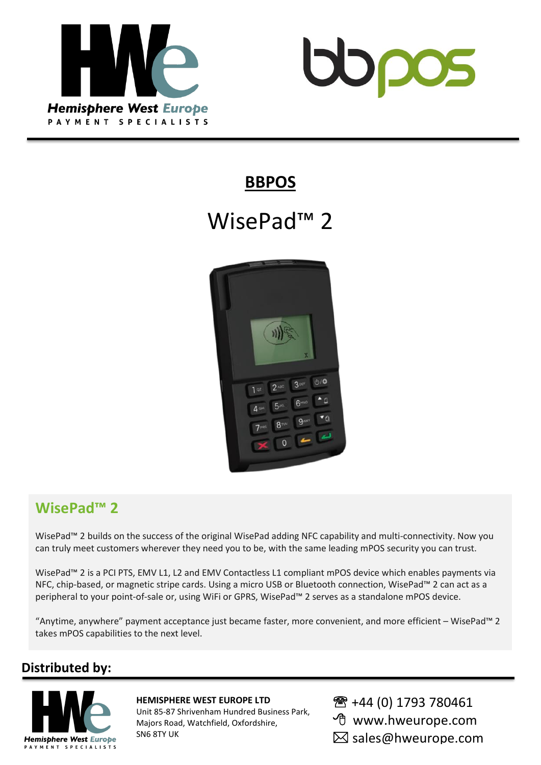



## **BBPOS**

# WisePad<sup>™</sup> 2



## **WisePad™ 2**

WisePad™ 2 builds on the success of the original WisePad adding NFC capability and multi-connectivity. Now you can truly meet customers wherever they need you to be, with the same leading mPOS security you can trust.

WisePad<sup>™</sup> 2 is a PCI PTS, EMV L1, L2 and EMV Contactless L1 compliant mPOS device which enables payments via NFC, chip-based, or magnetic stripe cards. Using a micro USB or Bluetooth connection, WisePad™ 2 can act as a peripheral to your point-of-sale or, using WiFi or GPRS, WisePad™ 2 serves as a standalone mPOS device.

"Anytime, anywhere" payment acceptance just became faster, more convenient, and more efficient – WisePad™ 2 takes mPOS capabilities to the next level.

## **Distributed by:**



#### **HEMISPHERE WEST EUROPE LTD**

Unit 85-87 Shrivenham Hundred Business Park, Majors Road, Watchfield, Oxfordshire, SN6 8TY UK

- 图 +44 (0) 1793 780461
- www.hweurope.com
- ⊠ sales@hweurope.com